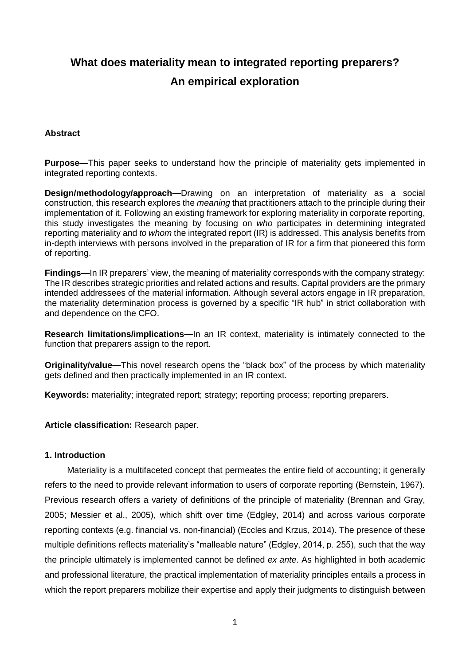# **What does materiality mean to integrated reporting preparers? An empirical exploration**

# **Abstract**

**Purpose—**This paper seeks to understand how the principle of materiality gets implemented in integrated reporting contexts.

**Design/methodology/approach—**Drawing on an interpretation of materiality as a social construction, this research explores the *meaning* that practitioners attach to the principle during their implementation of it. Following an existing framework for exploring materiality in corporate reporting, this study investigates the meaning by focusing on *who* participates in determining integrated reporting materiality and *to whom* the integrated report (IR) is addressed. This analysis benefits from in-depth interviews with persons involved in the preparation of IR for a firm that pioneered this form of reporting.

**Findings—In IR preparers' view, the meaning of materiality corresponds with the company strategy:** The IR describes strategic priorities and related actions and results. Capital providers are the primary intended addressees of the material information. Although several actors engage in IR preparation, the materiality determination process is governed by a specific "IR hub" in strict collaboration with and dependence on the CFO.

**Research limitations/implications—**In an IR context, materiality is intimately connected to the function that preparers assign to the report.

**Originality/value—**This novel research opens the "black box" of the process by which materiality gets defined and then practically implemented in an IR context.

**Keywords:** materiality; integrated report; strategy; reporting process; reporting preparers.

**Article classification:** Research paper.

# **1. Introduction**

Materiality is a multifaceted concept that permeates the entire field of accounting; it generally refers to the need to provide relevant information to users of corporate reporting (Bernstein, 1967). Previous research offers a variety of definitions of the principle of materiality (Brennan and Gray, 2005; Messier et al., 2005), which shift over time (Edgley, 2014) and across various corporate reporting contexts (e.g. financial vs. non-financial) (Eccles and Krzus, 2014). The presence of these multiple definitions reflects materiality's "malleable nature" (Edgley, 2014, p. 255), such that the way the principle ultimately is implemented cannot be defined *ex ante*. As highlighted in both academic and professional literature, the practical implementation of materiality principles entails a process in which the report preparers mobilize their expertise and apply their judgments to distinguish between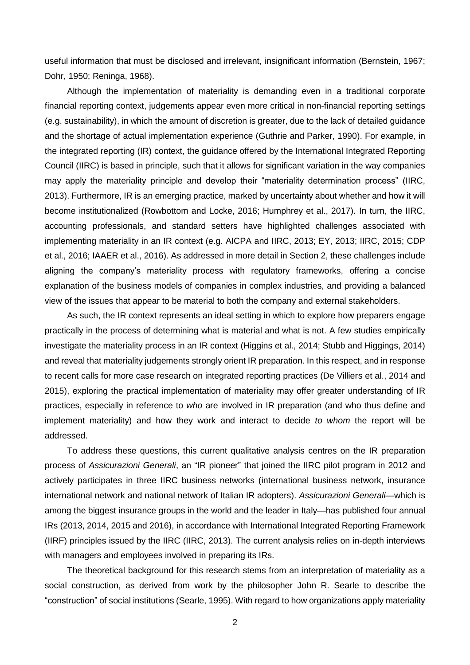useful information that must be disclosed and irrelevant, insignificant information (Bernstein, 1967; Dohr, 1950; Reninga, 1968).

Although the implementation of materiality is demanding even in a traditional corporate financial reporting context, judgements appear even more critical in non-financial reporting settings (e.g. sustainability), in which the amount of discretion is greater, due to the lack of detailed guidance and the shortage of actual implementation experience (Guthrie and Parker, 1990). For example, in the integrated reporting (IR) context, the guidance offered by the International Integrated Reporting Council (IIRC) is based in principle, such that it allows for significant variation in the way companies may apply the materiality principle and develop their "materiality determination process" (IIRC, 2013). Furthermore, IR is an emerging practice, marked by uncertainty about whether and how it will become institutionalized (Rowbottom and Locke, 2016; Humphrey et al., 2017). In turn, the IIRC, accounting professionals, and standard setters have highlighted challenges associated with implementing materiality in an IR context (e.g. AICPA and IIRC, 2013; EY, 2013; IIRC, 2015; CDP et al., 2016; IAAER et al., 2016). As addressed in more detail in Section 2, these challenges include aligning the company's materiality process with regulatory frameworks, offering a concise explanation of the business models of companies in complex industries, and providing a balanced view of the issues that appear to be material to both the company and external stakeholders.

As such, the IR context represents an ideal setting in which to explore how preparers engage practically in the process of determining what is material and what is not. A few studies empirically investigate the materiality process in an IR context (Higgins et al., 2014; Stubb and Higgings, 2014) and reveal that materiality judgements strongly orient IR preparation. In this respect, and in response to recent calls for more case research on integrated reporting practices (De Villiers et al., 2014 and 2015), exploring the practical implementation of materiality may offer greater understanding of IR practices, especially in reference to *who* are involved in IR preparation (and who thus define and implement materiality) and how they work and interact to decide *to whom* the report will be addressed.

To address these questions, this current qualitative analysis centres on the IR preparation process of *Assicurazioni Generali*, an "IR pioneer" that joined the IIRC pilot program in 2012 and actively participates in three IIRC business networks (international business network, insurance international network and national network of Italian IR adopters). *Assicurazioni Generali*—which is among the biggest insurance groups in the world and the leader in Italy—has published four annual IRs (2013, 2014, 2015 and 2016), in accordance with International Integrated Reporting Framework (IIRF) principles issued by the IIRC (IIRC, 2013). The current analysis relies on in-depth interviews with managers and employees involved in preparing its IRs.

The theoretical background for this research stems from an interpretation of materiality as a social construction, as derived from work by the philosopher John R. Searle to describe the "construction" of social institutions (Searle, 1995). With regard to how organizations apply materiality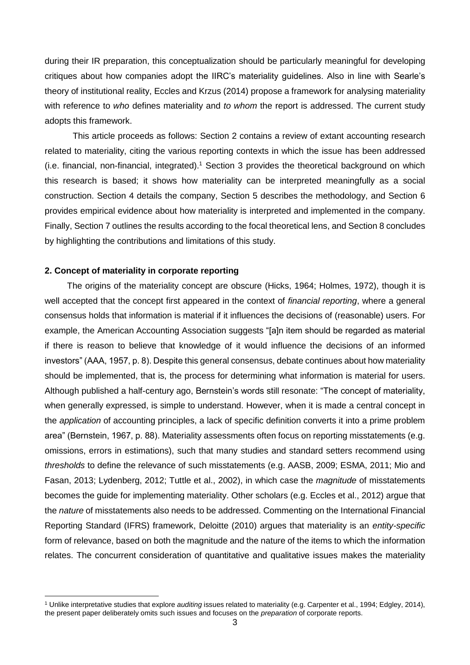during their IR preparation, this conceptualization should be particularly meaningful for developing critiques about how companies adopt the IIRC's materiality guidelines. Also in line with Searle's theory of institutional reality, Eccles and Krzus (2014) propose a framework for analysing materiality with reference to *who* defines materiality and *to whom* the report is addressed. The current study adopts this framework.

This article proceeds as follows: Section 2 contains a review of extant accounting research related to materiality, citing the various reporting contexts in which the issue has been addressed (i.e. financial, non-financial, integrated). <sup>1</sup> Section 3 provides the theoretical background on which this research is based; it shows how materiality can be interpreted meaningfully as a social construction. Section 4 details the company, Section 5 describes the methodology, and Section 6 provides empirical evidence about how materiality is interpreted and implemented in the company. Finally, Section 7 outlines the results according to the focal theoretical lens, and Section 8 concludes by highlighting the contributions and limitations of this study.

#### **2. Concept of materiality in corporate reporting**

 $\overline{a}$ 

The origins of the materiality concept are obscure (Hicks, 1964; Holmes, 1972), though it is well accepted that the concept first appeared in the context of *financial reporting*, where a general consensus holds that information is material if it influences the decisions of (reasonable) users. For example, the American Accounting Association suggests "[a]n item should be regarded as material if there is reason to believe that knowledge of it would influence the decisions of an informed investors" (AAA, 1957, p. 8). Despite this general consensus, debate continues about how materiality should be implemented, that is, the process for determining what information is material for users. Although published a half-century ago, Bernstein's words still resonate: "The concept of materiality, when generally expressed, is simple to understand. However, when it is made a central concept in the *application* of accounting principles, a lack of specific definition converts it into a prime problem area" (Bernstein, 1967, p. 88). Materiality assessments often focus on reporting misstatements (e.g. omissions, errors in estimations), such that many studies and standard setters recommend using *thresholds* to define the relevance of such misstatements (e.g. AASB, 2009; ESMA, 2011; Mio and Fasan, 2013; Lydenberg, 2012; Tuttle et al., 2002), in which case the *magnitude* of misstatements becomes the guide for implementing materiality. Other scholars (e.g. Eccles et al., 2012) argue that the *nature* of misstatements also needs to be addressed. Commenting on the International Financial Reporting Standard (IFRS) framework, Deloitte (2010) argues that materiality is an *entity-specific* form of relevance, based on both the magnitude and the nature of the items to which the information relates. The concurrent consideration of quantitative and qualitative issues makes the materiality

<sup>1</sup> Unlike interpretative studies that explore *auditing* issues related to materiality (e.g. Carpenter et al., 1994; Edgley, 2014), the present paper deliberately omits such issues and focuses on the *preparation* of corporate reports.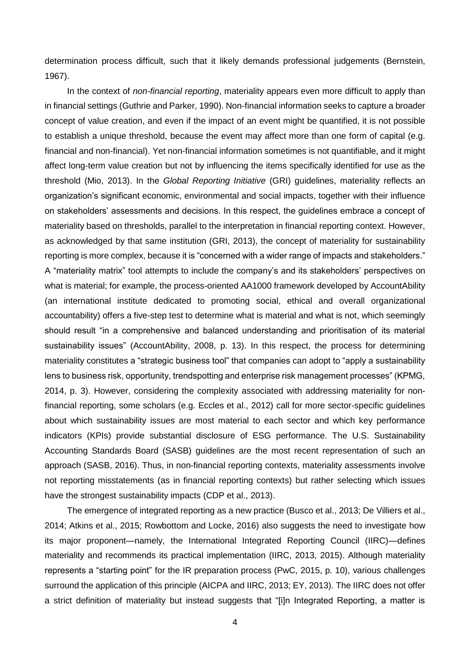determination process difficult, such that it likely demands professional judgements (Bernstein, 1967).

In the context of *non-financial reporting*, materiality appears even more difficult to apply than in financial settings (Guthrie and Parker, 1990). Non-financial information seeks to capture a broader concept of value creation, and even if the impact of an event might be quantified, it is not possible to establish a unique threshold, because the event may affect more than one form of capital (e.g. financial and non-financial). Yet non-financial information sometimes is not quantifiable, and it might affect long-term value creation but not by influencing the items specifically identified for use as the threshold (Mio, 2013). In the *Global Reporting Initiative* (GRI) guidelines, materiality reflects an organization's significant economic, environmental and social impacts, together with their influence on stakeholders' assessments and decisions. In this respect, the guidelines embrace a concept of materiality based on thresholds, parallel to the interpretation in financial reporting context. However, as acknowledged by that same institution (GRI, 2013), the concept of materiality for sustainability reporting is more complex, because it is "concerned with a wider range of impacts and stakeholders." A "materiality matrix" tool attempts to include the company's and its stakeholders' perspectives on what is material; for example, the process-oriented AA1000 framework developed by AccountAbility (an international institute dedicated to promoting social, ethical and overall organizational accountability) offers a five-step test to determine what is material and what is not, which seemingly should result "in a comprehensive and balanced understanding and prioritisation of its material sustainability issues" (AccountAbility, 2008, p. 13). In this respect, the process for determining materiality constitutes a "strategic business tool" that companies can adopt to "apply a sustainability lens to business risk, opportunity, trendspotting and enterprise risk management processes" (KPMG, 2014, p. 3). However, considering the complexity associated with addressing materiality for nonfinancial reporting, some scholars (e.g. Eccles et al., 2012) call for more sector-specific guidelines about which sustainability issues are most material to each sector and which key performance indicators (KPIs) provide substantial disclosure of ESG performance. The U.S. Sustainability Accounting Standards Board (SASB) guidelines are the most recent representation of such an approach (SASB, 2016). Thus, in non-financial reporting contexts, materiality assessments involve not reporting misstatements (as in financial reporting contexts) but rather selecting which issues have the strongest sustainability impacts (CDP et al., 2013).

The emergence of integrated reporting as a new practice (Busco et al., 2013; De Villiers et al., 2014; Atkins et al., 2015; Rowbottom and Locke, 2016) also suggests the need to investigate how its major proponent—namely, the International Integrated Reporting Council (IIRC)—defines materiality and recommends its practical implementation (IIRC, 2013, 2015). Although materiality represents a "starting point" for the IR preparation process (PwC, 2015, p. 10), various challenges surround the application of this principle (AICPA and IIRC, 2013; EY, 2013). The IIRC does not offer a strict definition of materiality but instead suggests that "[i]n Integrated Reporting, a matter is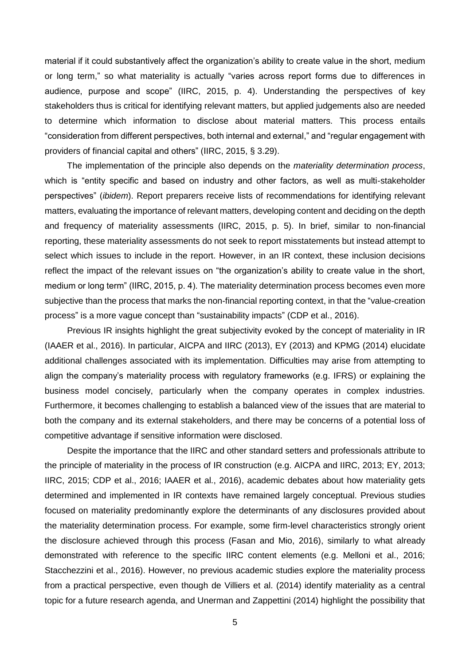material if it could substantively affect the organization's ability to create value in the short, medium or long term," so what materiality is actually "varies across report forms due to differences in audience, purpose and scope" (IIRC, 2015, p. 4). Understanding the perspectives of key stakeholders thus is critical for identifying relevant matters, but applied judgements also are needed to determine which information to disclose about material matters. This process entails "consideration from different perspectives, both internal and external," and "regular engagement with providers of financial capital and others" (IIRC, 2015, § 3.29).

The implementation of the principle also depends on the *materiality determination process*, which is "entity specific and based on industry and other factors, as well as multi-stakeholder perspectives" (*ibidem*). Report preparers receive lists of recommendations for identifying relevant matters, evaluating the importance of relevant matters, developing content and deciding on the depth and frequency of materiality assessments (IIRC, 2015, p. 5). In brief, similar to non-financial reporting, these materiality assessments do not seek to report misstatements but instead attempt to select which issues to include in the report. However, in an IR context, these inclusion decisions reflect the impact of the relevant issues on "the organization's ability to create value in the short, medium or long term" (IIRC, 2015, p. 4). The materiality determination process becomes even more subjective than the process that marks the non-financial reporting context, in that the "value-creation process" is a more vague concept than "sustainability impacts" (CDP et al., 2016).

Previous IR insights highlight the great subjectivity evoked by the concept of materiality in IR (IAAER et al., 2016). In particular, AICPA and IIRC (2013), EY (2013) and KPMG (2014) elucidate additional challenges associated with its implementation. Difficulties may arise from attempting to align the company's materiality process with regulatory frameworks (e.g. IFRS) or explaining the business model concisely, particularly when the company operates in complex industries. Furthermore, it becomes challenging to establish a balanced view of the issues that are material to both the company and its external stakeholders, and there may be concerns of a potential loss of competitive advantage if sensitive information were disclosed.

Despite the importance that the IIRC and other standard setters and professionals attribute to the principle of materiality in the process of IR construction (e.g. AICPA and IIRC, 2013; EY, 2013; IIRC, 2015; CDP et al., 2016; IAAER et al., 2016), academic debates about how materiality gets determined and implemented in IR contexts have remained largely conceptual. Previous studies focused on materiality predominantly explore the determinants of any disclosures provided about the materiality determination process. For example, some firm-level characteristics strongly orient the disclosure achieved through this process (Fasan and Mio, 2016), similarly to what already demonstrated with reference to the specific IIRC content elements (e.g. Melloni et al., 2016; Stacchezzini et al., 2016). However, no previous academic studies explore the materiality process from a practical perspective, even though de Villiers et al. (2014) identify materiality as a central topic for a future research agenda, and Unerman and Zappettini (2014) highlight the possibility that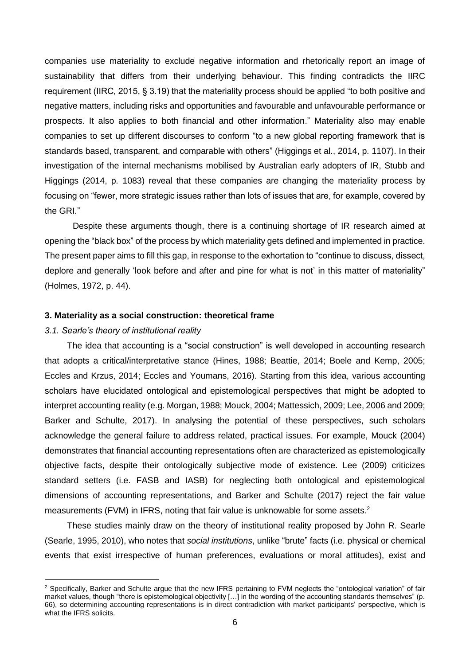companies use materiality to exclude negative information and rhetorically report an image of sustainability that differs from their underlying behaviour. This finding contradicts the IIRC requirement (IIRC, 2015, § 3.19) that the materiality process should be applied "to both positive and negative matters, including risks and opportunities and favourable and unfavourable performance or prospects. It also applies to both financial and other information." Materiality also may enable companies to set up different discourses to conform "to a new global reporting framework that is standards based, transparent, and comparable with others" (Higgings et al., 2014, p. 1107). In their investigation of the internal mechanisms mobilised by Australian early adopters of IR, Stubb and Higgings (2014, p. 1083) reveal that these companies are changing the materiality process by focusing on "fewer, more strategic issues rather than lots of issues that are, for example, covered by the GRI."

Despite these arguments though, there is a continuing shortage of IR research aimed at opening the "black box" of the process by which materiality gets defined and implemented in practice. The present paper aims to fill this gap, in response to the exhortation to "continue to discuss, dissect, deplore and generally 'look before and after and pine for what is not' in this matter of materiality" (Holmes, 1972, p. 44).

# **3. Materiality as a social construction: theoretical frame**

# *3.1. Searle's theory of institutional reality*

 $\overline{a}$ 

The idea that accounting is a "social construction" is well developed in accounting research that adopts a critical/interpretative stance (Hines, 1988; Beattie, 2014; Boele and Kemp, 2005; Eccles and Krzus, 2014; Eccles and Youmans, 2016). Starting from this idea, various accounting scholars have elucidated ontological and epistemological perspectives that might be adopted to interpret accounting reality (e.g. Morgan, 1988; Mouck, 2004; Mattessich, 2009; Lee, 2006 and 2009; Barker and Schulte, 2017). In analysing the potential of these perspectives, such scholars acknowledge the general failure to address related, practical issues. For example, Mouck (2004) demonstrates that financial accounting representations often are characterized as epistemologically objective facts, despite their ontologically subjective mode of existence. Lee (2009) criticizes standard setters (i.e. FASB and IASB) for neglecting both ontological and epistemological dimensions of accounting representations, and Barker and Schulte (2017) reject the fair value measurements (FVM) in IFRS, noting that fair value is unknowable for some assets.<sup>2</sup>

These studies mainly draw on the theory of institutional reality proposed by John R. Searle (Searle, 1995, 2010), who notes that *social institutions*, unlike "brute" facts (i.e. physical or chemical events that exist irrespective of human preferences, evaluations or moral attitudes), exist and

<sup>&</sup>lt;sup>2</sup> Specifically, Barker and Schulte argue that the new IFRS pertaining to FVM neglects the "ontological variation" of fair market values, though "there is epistemological objectivity [...] in the wording of the accounting standards themselves" (p. 66), so determining accounting representations is in direct contradiction with market participants' perspective, which is what the IFRS solicits.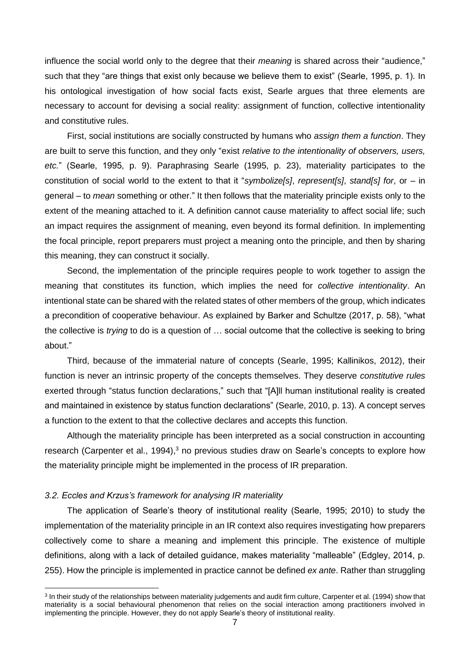influence the social world only to the degree that their *meaning* is shared across their "audience," such that they "are things that exist only because we believe them to exist" (Searle, 1995, p. 1). In his ontological investigation of how social facts exist, Searle argues that three elements are necessary to account for devising a social reality: assignment of function, collective intentionality and constitutive rules.

First, social institutions are socially constructed by humans who *assign them a function*. They are built to serve this function, and they only "exist *relative to the intentionality of observers, users, etc.*" (Searle, 1995, p. 9). Paraphrasing Searle (1995, p. 23), materiality participates to the constitution of social world to the extent to that it "*symbolize[s]*, *represent[s]*, *stand[s] for*, or – in general – to *mean* something or other." It then follows that the materiality principle exists only to the extent of the meaning attached to it. A definition cannot cause materiality to affect social life; such an impact requires the assignment of meaning, even beyond its formal definition. In implementing the focal principle, report preparers must project a meaning onto the principle, and then by sharing this meaning, they can construct it socially.

Second, the implementation of the principle requires people to work together to assign the meaning that constitutes its function, which implies the need for *collective intentionality*. An intentional state can be shared with the related states of other members of the group, which indicates a precondition of cooperative behaviour. As explained by Barker and Schultze (2017, p. 58), "what the collective is *trying* to do is a question of … social outcome that the collective is seeking to bring about."

Third, because of the immaterial nature of concepts (Searle, 1995; Kallinikos, 2012), their function is never an intrinsic property of the concepts themselves. They deserve *constitutive rules* exerted through "status function declarations," such that "[A]ll human institutional reality is created and maintained in existence by status function declarations" (Searle, 2010, p. 13). A concept serves a function to the extent to that the collective declares and accepts this function.

Although the materiality principle has been interpreted as a social construction in accounting research (Carpenter et al., 1994),<sup>3</sup> no previous studies draw on Searle's concepts to explore how the materiality principle might be implemented in the process of IR preparation.

#### *3.2. Eccles and Krzus's framework for analysing IR materiality*

 $\overline{a}$ 

The application of Searle's theory of institutional reality (Searle, 1995; 2010) to study the implementation of the materiality principle in an IR context also requires investigating how preparers collectively come to share a meaning and implement this principle. The existence of multiple definitions, along with a lack of detailed guidance, makes materiality "malleable" (Edgley, 2014, p. 255). How the principle is implemented in practice cannot be defined *ex ante*. Rather than struggling

<sup>&</sup>lt;sup>3</sup> In their study of the relationships between materiality judgements and audit firm culture, Carpenter et al. (1994) show that materiality is a social behavioural phenomenon that relies on the social interaction among practitioners involved in implementing the principle. However, they do not apply Searle's theory of institutional reality.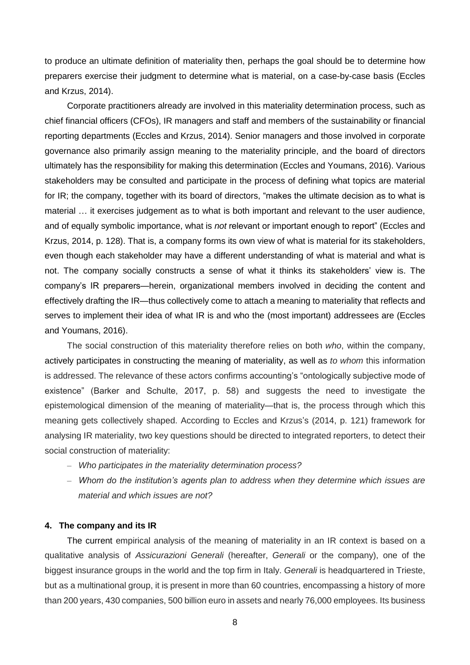to produce an ultimate definition of materiality then, perhaps the goal should be to determine how preparers exercise their judgment to determine what is material, on a case-by-case basis (Eccles and Krzus, 2014).

Corporate practitioners already are involved in this materiality determination process, such as chief financial officers (CFOs), IR managers and staff and members of the sustainability or financial reporting departments (Eccles and Krzus, 2014). Senior managers and those involved in corporate governance also primarily assign meaning to the materiality principle, and the board of directors ultimately has the responsibility for making this determination (Eccles and Youmans, 2016). Various stakeholders may be consulted and participate in the process of defining what topics are material for IR; the company, together with its board of directors, "makes the ultimate decision as to what is material … it exercises judgement as to what is both important and relevant to the user audience, and of equally symbolic importance, what is *not* relevant or important enough to report" (Eccles and Krzus, 2014, p. 128). That is, a company forms its own view of what is material for its stakeholders, even though each stakeholder may have a different understanding of what is material and what is not. The company socially constructs a sense of what it thinks its stakeholders' view is. The company's IR preparers—herein, organizational members involved in deciding the content and effectively drafting the IR—thus collectively come to attach a meaning to materiality that reflects and serves to implement their idea of what IR is and who the (most important) addressees are (Eccles and Youmans, 2016).

The social construction of this materiality therefore relies on both *who*, within the company, actively participates in constructing the meaning of materiality, as well as *to whom* this information is addressed. The relevance of these actors confirms accounting's "ontologically subjective mode of existence" (Barker and Schulte, 2017, p. 58) and suggests the need to investigate the epistemological dimension of the meaning of materiality—that is, the process through which this meaning gets collectively shaped. According to Eccles and Krzus's (2014, p. 121) framework for analysing IR materiality, two key questions should be directed to integrated reporters, to detect their social construction of materiality:

- *Who participates in the materiality determination process?*
- *Whom do the institution's agents plan to address when they determine which issues are material and which issues are not?*

# **4. The company and its IR**

The current empirical analysis of the meaning of materiality in an IR context is based on a qualitative analysis of *Assicurazioni Generali* (hereafter, *Generali* or the company), one of the biggest insurance groups in the world and the top firm in Italy. *Generali* is headquartered in Trieste, but as a multinational group, it is present in more than 60 countries, encompassing a history of more than 200 years, 430 companies, 500 billion euro in assets and nearly 76,000 employees. Its business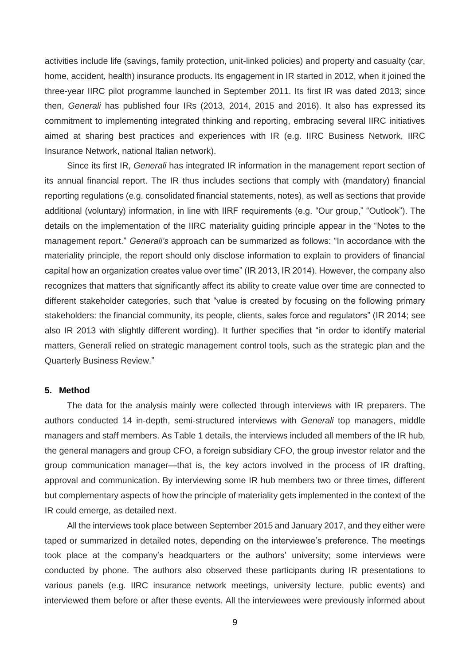activities include life (savings, family protection, unit-linked policies) and property and casualty (car, home, accident, health) insurance products. Its engagement in IR started in 2012, when it joined the three-year IIRC pilot programme launched in September 2011. Its first IR was dated 2013; since then, *Generali* has published four IRs (2013, 2014, 2015 and 2016). It also has expressed its commitment to implementing integrated thinking and reporting, embracing several IIRC initiatives aimed at sharing best practices and experiences with IR (e.g. IIRC Business Network, IIRC Insurance Network, national Italian network).

Since its first IR, *Generali* has integrated IR information in the management report section of its annual financial report. The IR thus includes sections that comply with (mandatory) financial reporting regulations (e.g. consolidated financial statements, notes), as well as sections that provide additional (voluntary) information, in line with IIRF requirements (e.g. "Our group," "Outlook"). The details on the implementation of the IIRC materiality guiding principle appear in the "Notes to the management report." *Generali's* approach can be summarized as follows: "In accordance with the materiality principle, the report should only disclose information to explain to providers of financial capital how an organization creates value over time" (IR 2013, IR 2014). However, the company also recognizes that matters that significantly affect its ability to create value over time are connected to different stakeholder categories, such that "value is created by focusing on the following primary stakeholders: the financial community, its people, clients, sales force and regulators" (IR 2014; see also IR 2013 with slightly different wording). It further specifies that "in order to identify material matters, Generali relied on strategic management control tools, such as the strategic plan and the Quarterly Business Review."

#### **5. Method**

The data for the analysis mainly were collected through interviews with IR preparers. The authors conducted 14 in-depth, semi-structured interviews with *Generali* top managers, middle managers and staff members. As Table 1 details, the interviews included all members of the IR hub, the general managers and group CFO, a foreign subsidiary CFO, the group investor relator and the group communication manager—that is, the key actors involved in the process of IR drafting, approval and communication. By interviewing some IR hub members two or three times, different but complementary aspects of how the principle of materiality gets implemented in the context of the IR could emerge, as detailed next.

All the interviews took place between September 2015 and January 2017, and they either were taped or summarized in detailed notes, depending on the interviewee's preference. The meetings took place at the company's headquarters or the authors' university; some interviews were conducted by phone. The authors also observed these participants during IR presentations to various panels (e.g. IIRC insurance network meetings, university lecture, public events) and interviewed them before or after these events. All the interviewees were previously informed about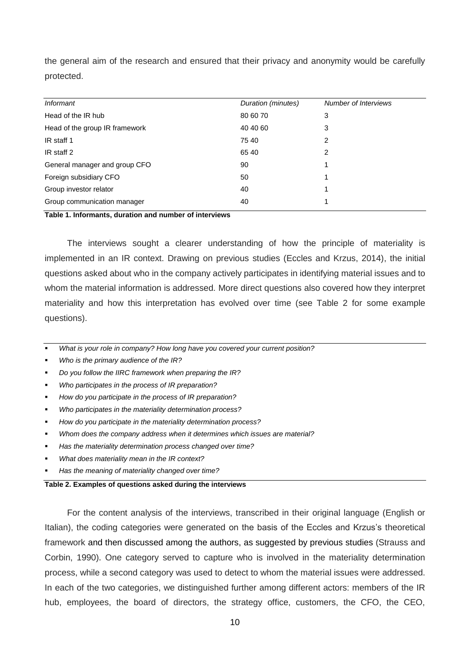the general aim of the research and ensured that their privacy and anonymity would be carefully protected.

| <i>Informant</i>               | Duration (minutes) | Number of Interviews |
|--------------------------------|--------------------|----------------------|
| Head of the IR hub             | 80 60 70           | 3                    |
| Head of the group IR framework | 40 40 60           | 3                    |
| IR staff 1                     | 75 40              | 2                    |
| IR staff 2                     | 65 40              | 2                    |
| General manager and group CFO  | 90                 |                      |
| Foreign subsidiary CFO         | 50                 |                      |
| Group investor relator         | 40                 |                      |
| Group communication manager    | 40                 |                      |
|                                |                    |                      |

**Table 1. Informants, duration and number of interviews**

The interviews sought a clearer understanding of how the principle of materiality is implemented in an IR context. Drawing on previous studies (Eccles and Krzus, 2014), the initial questions asked about who in the company actively participates in identifying material issues and to whom the material information is addressed. More direct questions also covered how they interpret materiality and how this interpretation has evolved over time (see Table 2 for some example questions).

- *What is your role in company? How long have you covered your current position?*
- *Who is the primary audience of the IR?*
- *Do you follow the IIRC framework when preparing the IR?*
- *Who participates in the process of IR preparation?*
- *How do you participate in the process of IR preparation?*
- *Who participates in the materiality determination process?*
- *How do you participate in the materiality determination process?*
- *Whom does the company address when it determines which issues are material?*
- *Has the materiality determination process changed over time?*
- *What does materiality mean in the IR context?*
- *Has the meaning of materiality changed over time?*

#### **Table 2. Examples of questions asked during the interviews**

For the content analysis of the interviews, transcribed in their original language (English or Italian), the coding categories were generated on the basis of the Eccles and Krzus's theoretical framework and then discussed among the authors, as suggested by previous studies (Strauss and Corbin, 1990). One category served to capture who is involved in the materiality determination process, while a second category was used to detect to whom the material issues were addressed. In each of the two categories, we distinguished further among different actors: members of the IR hub, employees, the board of directors, the strategy office, customers, the CFO, the CEO,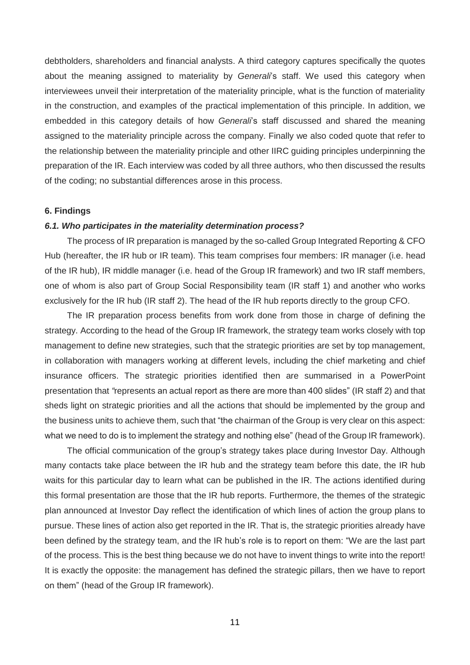debtholders, shareholders and financial analysts. A third category captures specifically the quotes about the meaning assigned to materiality by *Generali*'s staff. We used this category when interviewees unveil their interpretation of the materiality principle, what is the function of materiality in the construction, and examples of the practical implementation of this principle. In addition, we embedded in this category details of how *Generali*'s staff discussed and shared the meaning assigned to the materiality principle across the company. Finally we also coded quote that refer to the relationship between the materiality principle and other IIRC guiding principles underpinning the preparation of the IR. Each interview was coded by all three authors, who then discussed the results of the coding; no substantial differences arose in this process.

#### **6. Findings**

#### *6.1. Who participates in the materiality determination process?*

The process of IR preparation is managed by the so-called Group Integrated Reporting & CFO Hub (hereafter, the IR hub or IR team). This team comprises four members: IR manager (i.e. head of the IR hub), IR middle manager (i.e. head of the Group IR framework) and two IR staff members, one of whom is also part of Group Social Responsibility team (IR staff 1) and another who works exclusively for the IR hub (IR staff 2). The head of the IR hub reports directly to the group CFO.

The IR preparation process benefits from work done from those in charge of defining the strategy. According to the head of the Group IR framework, the strategy team works closely with top management to define new strategies, such that the strategic priorities are set by top management, in collaboration with managers working at different levels, including the chief marketing and chief insurance officers. The strategic priorities identified then are summarised in a PowerPoint presentation that *"*represents an actual report as there are more than 400 slides" (IR staff 2) and that sheds light on strategic priorities and all the actions that should be implemented by the group and the business units to achieve them, such that "the chairman of the Group is very clear on this aspect: what we need to do is to implement the strategy and nothing else" (head of the Group IR framework).

The official communication of the group's strategy takes place during Investor Day. Although many contacts take place between the IR hub and the strategy team before this date, the IR hub waits for this particular day to learn what can be published in the IR. The actions identified during this formal presentation are those that the IR hub reports. Furthermore, the themes of the strategic plan announced at Investor Day reflect the identification of which lines of action the group plans to pursue. These lines of action also get reported in the IR. That is, the strategic priorities already have been defined by the strategy team, and the IR hub's role is to report on them: "We are the last part of the process. This is the best thing because we do not have to invent things to write into the report! It is exactly the opposite: the management has defined the strategic pillars, then we have to report on them" (head of the Group IR framework).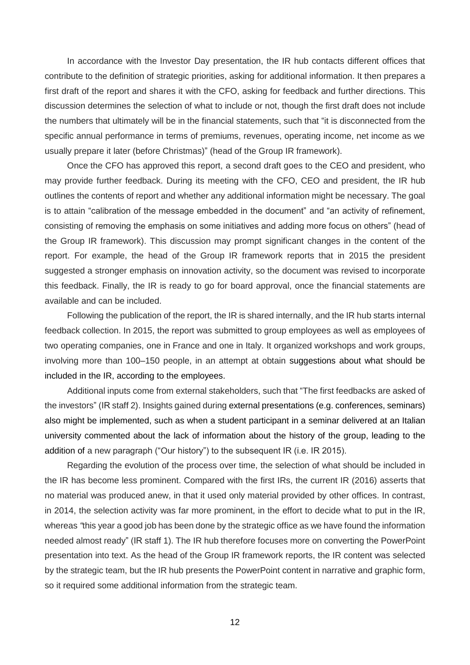In accordance with the Investor Day presentation, the IR hub contacts different offices that contribute to the definition of strategic priorities, asking for additional information. It then prepares a first draft of the report and shares it with the CFO, asking for feedback and further directions. This discussion determines the selection of what to include or not, though the first draft does not include the numbers that ultimately will be in the financial statements, such that "it is disconnected from the specific annual performance in terms of premiums, revenues, operating income, net income as we usually prepare it later (before Christmas)" (head of the Group IR framework).

Once the CFO has approved this report, a second draft goes to the CEO and president, who may provide further feedback. During its meeting with the CFO, CEO and president, the IR hub outlines the contents of report and whether any additional information might be necessary. The goal is to attain "calibration of the message embedded in the document" and "an activity of refinement, consisting of removing the emphasis on some initiatives and adding more focus on others" (head of the Group IR framework). This discussion may prompt significant changes in the content of the report. For example, the head of the Group IR framework reports that in 2015 the president suggested a stronger emphasis on innovation activity, so the document was revised to incorporate this feedback. Finally, the IR is ready to go for board approval, once the financial statements are available and can be included.

Following the publication of the report, the IR is shared internally, and the IR hub starts internal feedback collection. In 2015, the report was submitted to group employees as well as employees of two operating companies, one in France and one in Italy. It organized workshops and work groups, involving more than 100–150 people, in an attempt at obtain suggestions about what should be included in the IR, according to the employees.

Additional inputs come from external stakeholders, such that "The first feedbacks are asked of the investors" (IR staff 2). Insights gained during external presentations (e.g. conferences, seminars) also might be implemented, such as when a student participant in a seminar delivered at an Italian university commented about the lack of information about the history of the group, leading to the addition of a new paragraph ("Our history") to the subsequent IR (i.e. IR 2015).

Regarding the evolution of the process over time, the selection of what should be included in the IR has become less prominent. Compared with the first IRs, the current IR (2016) asserts that no material was produced anew, in that it used only material provided by other offices. In contrast, in 2014, the selection activity was far more prominent, in the effort to decide what to put in the IR, whereas *"*this year a good job has been done by the strategic office as we have found the information needed almost ready" (IR staff 1). The IR hub therefore focuses more on converting the PowerPoint presentation into text. As the head of the Group IR framework reports, the IR content was selected by the strategic team, but the IR hub presents the PowerPoint content in narrative and graphic form, so it required some additional information from the strategic team.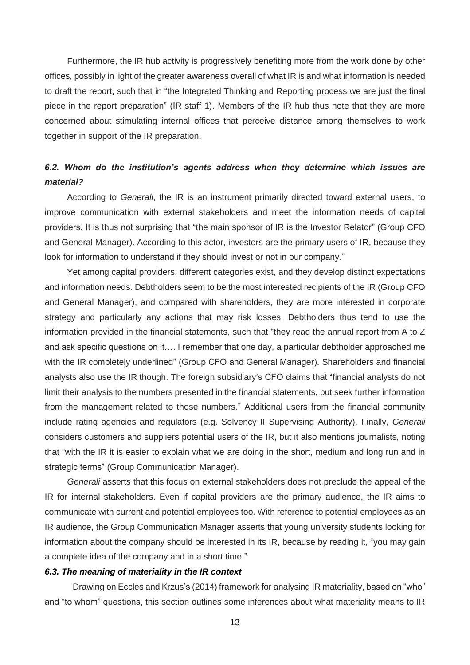Furthermore, the IR hub activity is progressively benefiting more from the work done by other offices, possibly in light of the greater awareness overall of what IR is and what information is needed to draft the report, such that in "the Integrated Thinking and Reporting process we are just the final piece in the report preparation" (IR staff 1). Members of the IR hub thus note that they are more concerned about stimulating internal offices that perceive distance among themselves to work together in support of the IR preparation.

# *6.2. Whom do the institution's agents address when they determine which issues are material?*

According to *Generali*, the IR is an instrument primarily directed toward external users, to improve communication with external stakeholders and meet the information needs of capital providers. It is thus not surprising that "the main sponsor of IR is the Investor Relator" (Group CFO and General Manager). According to this actor, investors are the primary users of IR, because they look for information to understand if they should invest or not in our company."

Yet among capital providers, different categories exist, and they develop distinct expectations and information needs. Debtholders seem to be the most interested recipients of the IR (Group CFO and General Manager), and compared with shareholders, they are more interested in corporate strategy and particularly any actions that may risk losses. Debtholders thus tend to use the information provided in the financial statements, such that "they read the annual report from A to Z and ask specific questions on it…. I remember that one day, a particular debtholder approached me with the IR completely underlined" (Group CFO and General Manager). Shareholders and financial analysts also use the IR though. The foreign subsidiary's CFO claims that "financial analysts do not limit their analysis to the numbers presented in the financial statements, but seek further information from the management related to those numbers." Additional users from the financial community include rating agencies and regulators (e.g. Solvency II Supervising Authority). Finally, *Generali* considers customers and suppliers potential users of the IR, but it also mentions journalists, noting that "with the IR it is easier to explain what we are doing in the short, medium and long run and in strategic terms" (Group Communication Manager).

*Generali* asserts that this focus on external stakeholders does not preclude the appeal of the IR for internal stakeholders. Even if capital providers are the primary audience, the IR aims to communicate with current and potential employees too. With reference to potential employees as an IR audience, the Group Communication Manager asserts that young university students looking for information about the company should be interested in its IR, because by reading it, "you may gain a complete idea of the company and in a short time."

# *6.3. The meaning of materiality in the IR context*

Drawing on Eccles and Krzus's (2014) framework for analysing IR materiality, based on "who" and "to whom" questions, this section outlines some inferences about what materiality means to IR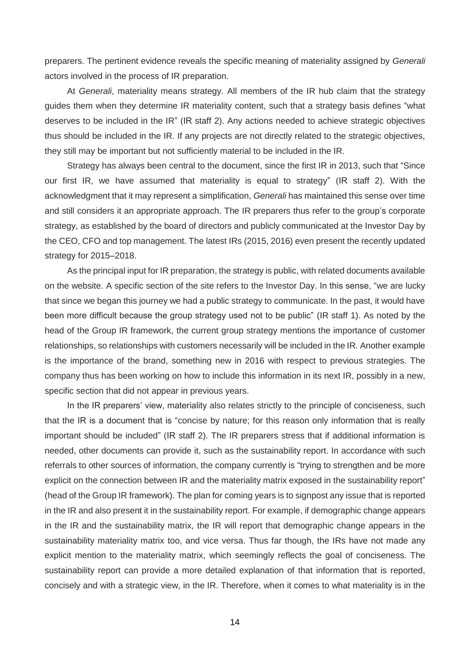preparers. The pertinent evidence reveals the specific meaning of materiality assigned by *Generali* actors involved in the process of IR preparation.

At *Generali*, materiality means strategy. All members of the IR hub claim that the strategy guides them when they determine IR materiality content, such that a strategy basis defines "what deserves to be included in the IR" (IR staff 2). Any actions needed to achieve strategic objectives thus should be included in the IR. If any projects are not directly related to the strategic objectives, they still may be important but not sufficiently material to be included in the IR.

Strategy has always been central to the document, since the first IR in 2013, such that "Since our first IR, we have assumed that materiality is equal to strategy" (IR staff 2). With the acknowledgment that it may represent a simplification, *Generali* has maintained this sense over time and still considers it an appropriate approach. The IR preparers thus refer to the group's corporate strategy, as established by the board of directors and publicly communicated at the Investor Day by the CEO, CFO and top management. The latest IRs (2015, 2016) even present the recently updated strategy for 2015–2018.

As the principal input for IR preparation, the strategy is public, with related documents available on the website. A specific section of the site refers to the Investor Day. In this sense, "we are lucky that since we began this journey we had a public strategy to communicate. In the past, it would have been more difficult because the group strategy used not to be public" (IR staff 1). As noted by the head of the Group IR framework, the current group strategy mentions the importance of customer relationships, so relationships with customers necessarily will be included in the IR*.* Another example is the importance of the brand, something new in 2016 with respect to previous strategies. The company thus has been working on how to include this information in its next IR, possibly in a new, specific section that did not appear in previous years.

In the IR preparers' view, materiality also relates strictly to the principle of conciseness, such that the IR is a document that is "concise by nature; for this reason only information that is really important should be included" (IR staff 2). The IR preparers stress that if additional information is needed, other documents can provide it, such as the sustainability report. In accordance with such referrals to other sources of information, the company currently is "trying to strengthen and be more explicit on the connection between IR and the materiality matrix exposed in the sustainability report" (head of the Group IR framework). The plan for coming years is to signpost any issue that is reported in the IR and also present it in the sustainability report. For example, if demographic change appears in the IR and the sustainability matrix, the IR will report that demographic change appears in the sustainability materiality matrix too, and vice versa. Thus far though, the IRs have not made any explicit mention to the materiality matrix, which seemingly reflects the goal of conciseness. The sustainability report can provide a more detailed explanation of that information that is reported, concisely and with a strategic view, in the IR. Therefore, when it comes to what materiality is in the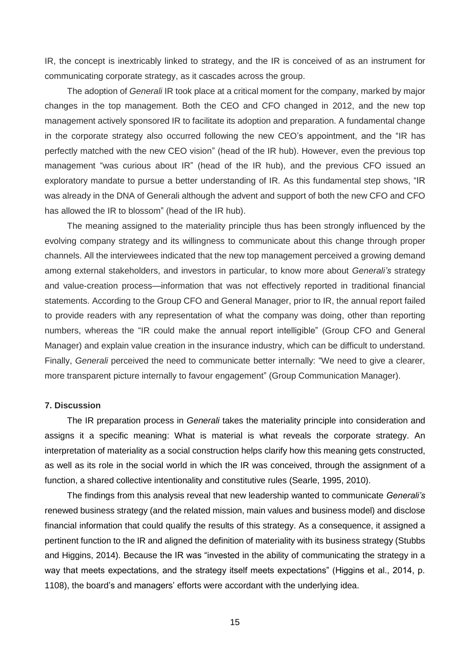IR, the concept is inextricably linked to strategy, and the IR is conceived of as an instrument for communicating corporate strategy, as it cascades across the group.

The adoption of *Generali* IR took place at a critical moment for the company, marked by major changes in the top management. Both the CEO and CFO changed in 2012, and the new top management actively sponsored IR to facilitate its adoption and preparation. A fundamental change in the corporate strategy also occurred following the new CEO's appointment, and the "IR has perfectly matched with the new CEO vision" (head of the IR hub). However, even the previous top management "was curious about IR" (head of the IR hub), and the previous CFO issued an exploratory mandate to pursue a better understanding of IR. As this fundamental step shows, "IR was already in the DNA of Generali although the advent and support of both the new CFO and CFO has allowed the IR to blossom" (head of the IR hub).

The meaning assigned to the materiality principle thus has been strongly influenced by the evolving company strategy and its willingness to communicate about this change through proper channels. All the interviewees indicated that the new top management perceived a growing demand among external stakeholders, and investors in particular, to know more about *Generali's* strategy and value-creation process—information that was not effectively reported in traditional financial statements. According to the Group CFO and General Manager, prior to IR, the annual report failed to provide readers with any representation of what the company was doing, other than reporting numbers, whereas the "IR could make the annual report intelligible" (Group CFO and General Manager) and explain value creation in the insurance industry, which can be difficult to understand. Finally, *Generali* perceived the need to communicate better internally: "We need to give a clearer, more transparent picture internally to favour engagement" (Group Communication Manager).

### **7. Discussion**

The IR preparation process in *Generali* takes the materiality principle into consideration and assigns it a specific meaning: What is material is what reveals the corporate strategy. An interpretation of materiality as a social construction helps clarify how this meaning gets constructed, as well as its role in the social world in which the IR was conceived, through the assignment of a function, a shared collective intentionality and constitutive rules (Searle, 1995, 2010).

The findings from this analysis reveal that new leadership wanted to communicate *Generali's*  renewed business strategy (and the related mission, main values and business model) and disclose financial information that could qualify the results of this strategy. As a consequence, it assigned a pertinent function to the IR and aligned the definition of materiality with its business strategy (Stubbs and Higgins, 2014). Because the IR was "invested in the ability of communicating the strategy in a way that meets expectations, and the strategy itself meets expectations" (Higgins et al., 2014, p. 1108), the board's and managers' efforts were accordant with the underlying idea.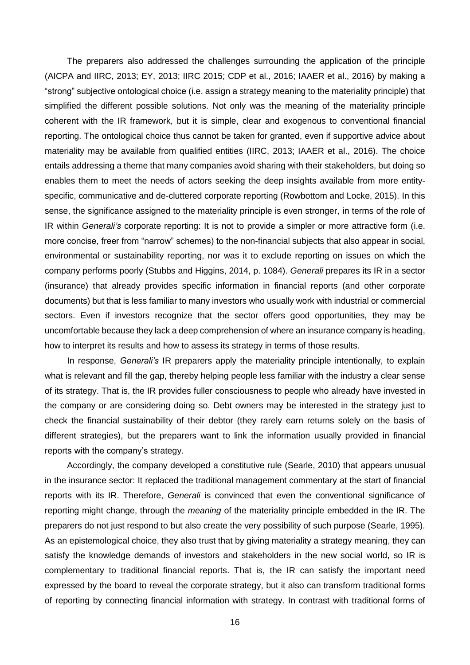The preparers also addressed the challenges surrounding the application of the principle (AICPA and IIRC, 2013; EY, 2013; IIRC 2015; CDP et al., 2016; IAAER et al., 2016) by making a "strong" subjective ontological choice (i.e. assign a strategy meaning to the materiality principle) that simplified the different possible solutions. Not only was the meaning of the materiality principle coherent with the IR framework, but it is simple, clear and exogenous to conventional financial reporting. The ontological choice thus cannot be taken for granted, even if supportive advice about materiality may be available from qualified entities (IIRC, 2013; IAAER et al., 2016). The choice entails addressing a theme that many companies avoid sharing with their stakeholders, but doing so enables them to meet the needs of actors seeking the deep insights available from more entityspecific, communicative and de-cluttered corporate reporting (Rowbottom and Locke, 2015). In this sense, the significance assigned to the materiality principle is even stronger, in terms of the role of IR within *Generali's* corporate reporting: It is not to provide a simpler or more attractive form (i.e. more concise, freer from "narrow" schemes) to the non-financial subjects that also appear in social, environmental or sustainability reporting, nor was it to exclude reporting on issues on which the company performs poorly (Stubbs and Higgins, 2014, p. 1084). *Generali* prepares its IR in a sector (insurance) that already provides specific information in financial reports (and other corporate documents) but that is less familiar to many investors who usually work with industrial or commercial sectors. Even if investors recognize that the sector offers good opportunities, they may be uncomfortable because they lack a deep comprehension of where an insurance company is heading, how to interpret its results and how to assess its strategy in terms of those results.

In response, *Generali's* IR preparers apply the materiality principle intentionally, to explain what is relevant and fill the gap, thereby helping people less familiar with the industry a clear sense of its strategy. That is, the IR provides fuller consciousness to people who already have invested in the company or are considering doing so. Debt owners may be interested in the strategy just to check the financial sustainability of their debtor (they rarely earn returns solely on the basis of different strategies), but the preparers want to link the information usually provided in financial reports with the company's strategy.

Accordingly, the company developed a constitutive rule (Searle, 2010) that appears unusual in the insurance sector: It replaced the traditional management commentary at the start of financial reports with its IR. Therefore, *Generali* is convinced that even the conventional significance of reporting might change, through the *meaning* of the materiality principle embedded in the IR. The preparers do not just respond to but also create the very possibility of such purpose (Searle, 1995). As an epistemological choice, they also trust that by giving materiality a strategy meaning, they can satisfy the knowledge demands of investors and stakeholders in the new social world, so IR is complementary to traditional financial reports. That is, the IR can satisfy the important need expressed by the board to reveal the corporate strategy, but it also can transform traditional forms of reporting by connecting financial information with strategy. In contrast with traditional forms of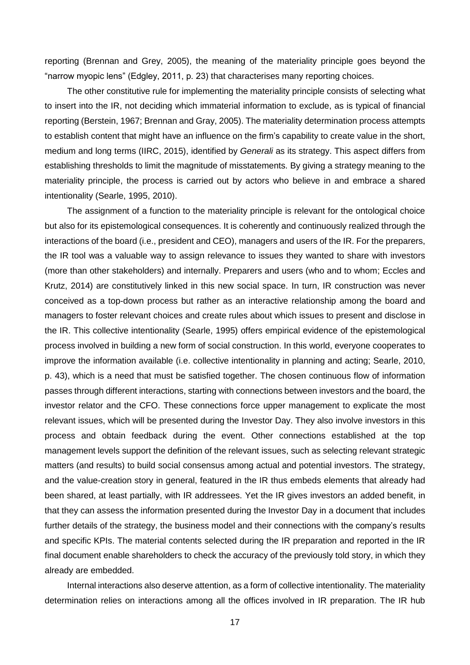reporting (Brennan and Grey, 2005), the meaning of the materiality principle goes beyond the "narrow myopic lens" (Edgley, 2011, p. 23) that characterises many reporting choices.

The other constitutive rule for implementing the materiality principle consists of selecting what to insert into the IR, not deciding which immaterial information to exclude, as is typical of financial reporting (Berstein, 1967; Brennan and Gray, 2005). The materiality determination process attempts to establish content that might have an influence on the firm's capability to create value in the short, medium and long terms (IIRC, 2015), identified by *Generali* as its strategy. This aspect differs from establishing thresholds to limit the magnitude of misstatements. By giving a strategy meaning to the materiality principle, the process is carried out by actors who believe in and embrace a shared intentionality (Searle, 1995, 2010).

The assignment of a function to the materiality principle is relevant for the ontological choice but also for its epistemological consequences. It is coherently and continuously realized through the interactions of the board (i.e., president and CEO), managers and users of the IR. For the preparers, the IR tool was a valuable way to assign relevance to issues they wanted to share with investors (more than other stakeholders) and internally. Preparers and users (who and to whom; Eccles and Krutz, 2014) are constitutively linked in this new social space. In turn, IR construction was never conceived as a top-down process but rather as an interactive relationship among the board and managers to foster relevant choices and create rules about which issues to present and disclose in the IR. This collective intentionality (Searle, 1995) offers empirical evidence of the epistemological process involved in building a new form of social construction. In this world, everyone cooperates to improve the information available (i.e. collective intentionality in planning and acting; Searle, 2010, p. 43), which is a need that must be satisfied together. The chosen continuous flow of information passes through different interactions, starting with connections between investors and the board, the investor relator and the CFO. These connections force upper management to explicate the most relevant issues, which will be presented during the Investor Day. They also involve investors in this process and obtain feedback during the event. Other connections established at the top management levels support the definition of the relevant issues, such as selecting relevant strategic matters (and results) to build social consensus among actual and potential investors. The strategy, and the value-creation story in general, featured in the IR thus embeds elements that already had been shared, at least partially, with IR addressees. Yet the IR gives investors an added benefit, in that they can assess the information presented during the Investor Day in a document that includes further details of the strategy, the business model and their connections with the company's results and specific KPIs. The material contents selected during the IR preparation and reported in the IR final document enable shareholders to check the accuracy of the previously told story, in which they already are embedded.

Internal interactions also deserve attention, as a form of collective intentionality. The materiality determination relies on interactions among all the offices involved in IR preparation. The IR hub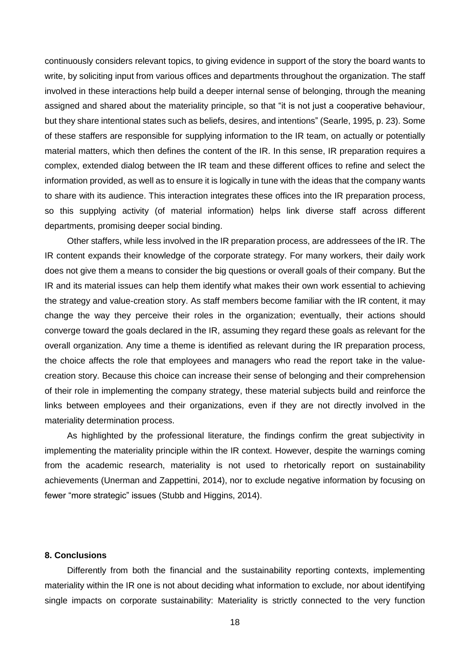continuously considers relevant topics, to giving evidence in support of the story the board wants to write, by soliciting input from various offices and departments throughout the organization. The staff involved in these interactions help build a deeper internal sense of belonging, through the meaning assigned and shared about the materiality principle, so that "it is not just a cooperative behaviour, but they share intentional states such as beliefs, desires, and intentions" (Searle, 1995, p. 23). Some of these staffers are responsible for supplying information to the IR team, on actually or potentially material matters, which then defines the content of the IR. In this sense, IR preparation requires a complex, extended dialog between the IR team and these different offices to refine and select the information provided, as well as to ensure it is logically in tune with the ideas that the company wants to share with its audience. This interaction integrates these offices into the IR preparation process, so this supplying activity (of material information) helps link diverse staff across different departments, promising deeper social binding.

Other staffers, while less involved in the IR preparation process, are addressees of the IR. The IR content expands their knowledge of the corporate strategy. For many workers, their daily work does not give them a means to consider the big questions or overall goals of their company. But the IR and its material issues can help them identify what makes their own work essential to achieving the strategy and value-creation story. As staff members become familiar with the IR content, it may change the way they perceive their roles in the organization; eventually, their actions should converge toward the goals declared in the IR, assuming they regard these goals as relevant for the overall organization. Any time a theme is identified as relevant during the IR preparation process, the choice affects the role that employees and managers who read the report take in the valuecreation story. Because this choice can increase their sense of belonging and their comprehension of their role in implementing the company strategy, these material subjects build and reinforce the links between employees and their organizations, even if they are not directly involved in the materiality determination process.

As highlighted by the professional literature, the findings confirm the great subjectivity in implementing the materiality principle within the IR context. However, despite the warnings coming from the academic research, materiality is not used to rhetorically report on sustainability achievements (Unerman and Zappettini, 2014), nor to exclude negative information by focusing on fewer "more strategic" issues (Stubb and Higgins, 2014).

# **8. Conclusions**

Differently from both the financial and the sustainability reporting contexts, implementing materiality within the IR one is not about deciding what information to exclude, nor about identifying single impacts on corporate sustainability: Materiality is strictly connected to the very function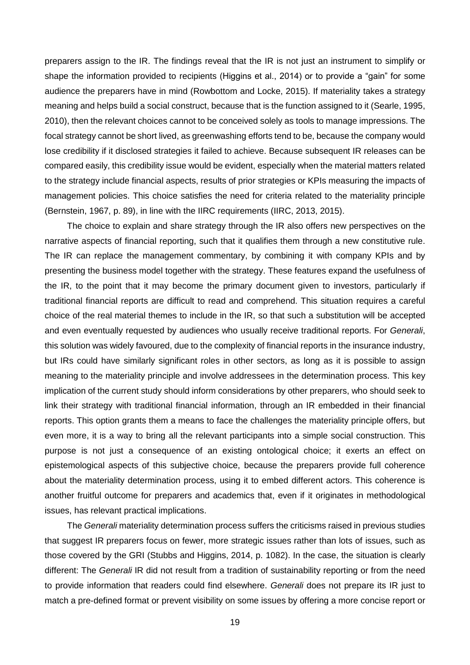preparers assign to the IR. The findings reveal that the IR is not just an instrument to simplify or shape the information provided to recipients (Higgins et al., 2014) or to provide a "gain" for some audience the preparers have in mind (Rowbottom and Locke, 2015). If materiality takes a strategy meaning and helps build a social construct, because that is the function assigned to it (Searle, 1995, 2010), then the relevant choices cannot to be conceived solely as tools to manage impressions. The focal strategy cannot be short lived, as greenwashing efforts tend to be, because the company would lose credibility if it disclosed strategies it failed to achieve. Because subsequent IR releases can be compared easily, this credibility issue would be evident, especially when the material matters related to the strategy include financial aspects, results of prior strategies or KPIs measuring the impacts of management policies. This choice satisfies the need for criteria related to the materiality principle (Bernstein, 1967, p. 89), in line with the IIRC requirements (IIRC, 2013, 2015).

The choice to explain and share strategy through the IR also offers new perspectives on the narrative aspects of financial reporting, such that it qualifies them through a new constitutive rule. The IR can replace the management commentary, by combining it with company KPIs and by presenting the business model together with the strategy. These features expand the usefulness of the IR, to the point that it may become the primary document given to investors, particularly if traditional financial reports are difficult to read and comprehend. This situation requires a careful choice of the real material themes to include in the IR, so that such a substitution will be accepted and even eventually requested by audiences who usually receive traditional reports. For *Generali*, this solution was widely favoured, due to the complexity of financial reports in the insurance industry, but IRs could have similarly significant roles in other sectors, as long as it is possible to assign meaning to the materiality principle and involve addressees in the determination process. This key implication of the current study should inform considerations by other preparers, who should seek to link their strategy with traditional financial information, through an IR embedded in their financial reports. This option grants them a means to face the challenges the materiality principle offers, but even more, it is a way to bring all the relevant participants into a simple social construction. This purpose is not just a consequence of an existing ontological choice; it exerts an effect on epistemological aspects of this subjective choice, because the preparers provide full coherence about the materiality determination process, using it to embed different actors. This coherence is another fruitful outcome for preparers and academics that, even if it originates in methodological issues, has relevant practical implications.

The *Generali* materiality determination process suffers the criticisms raised in previous studies that suggest IR preparers focus on fewer, more strategic issues rather than lots of issues, such as those covered by the GRI (Stubbs and Higgins, 2014, p. 1082). In the case, the situation is clearly different: The *Generali* IR did not result from a tradition of sustainability reporting or from the need to provide information that readers could find elsewhere. *Generali* does not prepare its IR just to match a pre-defined format or prevent visibility on some issues by offering a more concise report or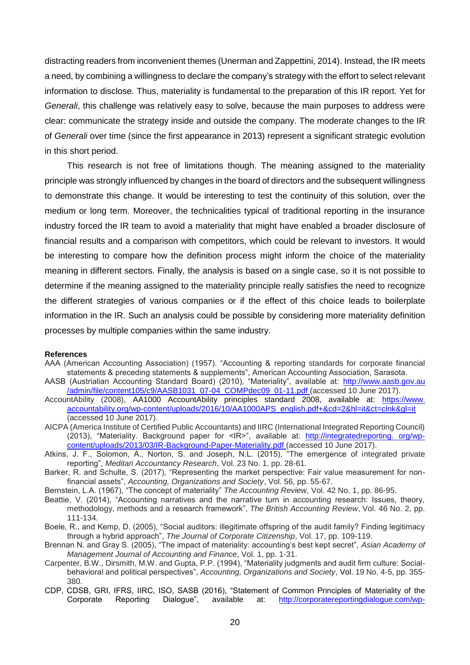distracting readers from inconvenient themes (Unerman and Zappettini, 2014). Instead, the IR meets a need, by combining a willingness to declare the company's strategy with the effort to select relevant information to disclose. Thus, materiality is fundamental to the preparation of this IR report. Yet for *Generali*, this challenge was relatively easy to solve, because the main purposes to address were clear: communicate the strategy inside and outside the company. The moderate changes to the IR of *Generali* over time (since the first appearance in 2013) represent a significant strategic evolution in this short period.

This research is not free of limitations though. The meaning assigned to the materiality principle was strongly influenced by changes in the board of directors and the subsequent willingness to demonstrate this change. It would be interesting to test the continuity of this solution, over the medium or long term. Moreover, the technicalities typical of traditional reporting in the insurance industry forced the IR team to avoid a materiality that might have enabled a broader disclosure of financial results and a comparison with competitors, which could be relevant to investors. It would be interesting to compare how the definition process might inform the choice of the materiality meaning in different sectors. Finally, the analysis is based on a single case, so it is not possible to determine if the meaning assigned to the materiality principle really satisfies the need to recognize the different strategies of various companies or if the effect of this choice leads to boilerplate information in the IR. Such an analysis could be possible by considering more materiality definition processes by multiple companies within the same industry.

#### **References**

- AAA (American Accounting Association) (1957). "Accounting & reporting standards for corporate financial statements & preceding statements & supplements", American Accounting Association, Sarasota.
- AASB (Austrialian Accounting Standard Board) (2010), "Materiality", available at: http://www.aasb.gov.au /<u>admin/file/content105/c9/AASB1031\_07-04\_COMPdec09\_01-11.pdf (</u>accessed 10 June 2017).
- AccountAbility (2008), AA1000 AccountAbility principles standard 2008, available at: https://www. accountability.org/wp-content/uploads/2016/10/AA1000APS\_english.pdf+&cd=2&hl=it&ct=clnk&gl=it (accessed 10 June 2017).
- AICPA (America Institute of Certified Public Accountants) and IIRC (International Integrated Reporting Council) (2013), "Materiality. Background paper for <IR>", available at: http://integratedreporting. org/wpcontent/uploads/2013/03/IR-Background-Paper-Materiality.pdf (accessed 10 June 2017).
- Atkins, J. F., Solomon, A., Norton, S. and Joseph, N.L. (2015), "The emergence of integrated private reporting", *Meditari Accountancy Research*, Vol. 23 No. 1, pp. 28-61.
- Barker, R. and Schulte, S. (2017), "Representing the market perspective: Fair value measurement for nonfinancial assets", *Accounting, Organizations and Society*, Vol. 56, pp. 55-67.
- Bernstein, L.A. (1967), "The concept of materiality" *The Accounting Review*, Vol. 42 No. 1, pp. 86-95.
- Beattie, V. (2014), "Accounting narratives and the narrative turn in accounting research: Issues, theory, methodology, methods and a research framework", *The British Accounting Review*, Vol. 46 No. 2, pp. 111-134.
- Boele, R., and Kemp, D. (2005), "Social auditors: illegitimate offspring of the audit family? Finding legitimacy through a hybrid approach", *The Journal of Corporate Citizenship*, Vol. 17, pp. 109-119.
- Brennan N. and Gray S. (2005), "The impact of materiality: accounting's best kept secret", *Asian Academy of Management Journal of Accounting and Finance*, Vol. 1, pp. 1-31.
- Carpenter, B.W., Dirsmith, M.W. and Gupta, P.P. (1994), "Materiality judgments and audit firm culture: Socialbehavioral and political perspectives", *Accounting, Organizations and Society*, Vol. 19 No. 4-5, pp. 355- 380.
- CDP, CDSB, GRI, IFRS, IIRC, ISO, SASB (2016), "Statement of Common Principles of Materiality of the Corporate Reporting Dialogue", available at: [http://corporatereportingdialogue.com/wp-](http://corporatereportingdialogue.com/wp-content/uploads/2016/03/%20Statement-of-Common-Principles-of-Materiality1.pdf)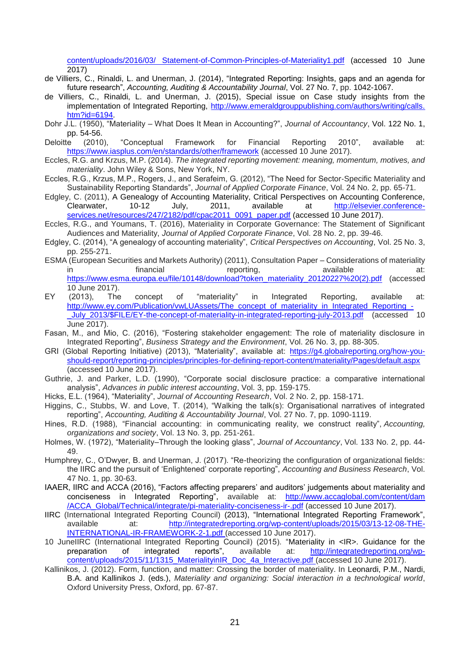[content/uploads/2016/03/ Statement-of-Common-Principles-of-Materiality1.pdf](http://corporatereportingdialogue.com/wp-content/uploads/2016/03/%20Statement-of-Common-Principles-of-Materiality1.pdf) (accessed 10 June 2017)

- de Villiers, C., Rinaldi, L. and Unerman, J. (2014), "Integrated Reporting: Insights, gaps and an agenda for future research", *Accounting, Auditing & Accountability Journal*, Vol. 27 No. 7, pp. 1042-1067.
- de Villiers, C., Rinaldi, L. and Unerman, J. (2015), Special issue on Case study insights from the implementation of Integrated Reporting, [http://www.emeraldgrouppublishing.com/authors/writing/calls.](http://www.emeraldgrouppublishing.com/authors/writing/calls.%20htm?id=6194)  [htm?id=6194.](http://www.emeraldgrouppublishing.com/authors/writing/calls.%20htm?id=6194)
- Dohr J.L. (1950), "Materiality What Does It Mean in Accounting?", *Journal of Accountancy*, Vol. 122 No. 1, pp. 54-56.
- Deloitte (2010), "Conceptual Framework for Financial Reporting 2010", available at: <https://www.iasplus.com/en/standards/other/framework> (accessed 10 June 2017).
- Eccles, R.G. and Krzus, M.P. (2014). *The integrated reporting movement: meaning, momentum, motives, and materiality*. John Wiley & Sons, New York, NY.
- Eccles, R.G., Krzus, M.P., Rogers, J., and Serafeim, G. (2012), "The Need for Sector‐Specific Materiality and Sustainability Reporting Standards", *Journal of Applied Corporate Finance*, Vol. 24 No. 2, pp. 65-71.
- Edgley, C. (2011), A Genealogy of Accounting Materiality, Critical Perspectives on Accounting Conference, Clearwater, 10-12 July, 2011, available at [http://elsevier.conference](http://elsevier.conference-services.net/resources/247/2182/pdf/cpac2011_0091_paper.pdf)[services.net/resources/247/2182/pdf/cpac2011\\_0091\\_paper.pdf](http://elsevier.conference-services.net/resources/247/2182/pdf/cpac2011_0091_paper.pdf) (accessed 10 June 2017).
- Eccles, R.G., and Youmans, T. (2016), Materiality in Corporate Governance: The Statement of Significant Audiences and Materiality, *Journal of Applied Corporate Finance*, Vol. 28 No. 2, pp. 39-46.
- Edgley, C. (2014), "A genealogy of accounting materiality", *Critical Perspectives on Accounting*, Vol. 25 No. 3, pp. 255-271.
- ESMA (European Securities and Markets Authority) (2011), Consultation Paper Considerations of materiality in financial reporting, available at: [https://www.esma.europa.eu/file/10148/download?token\\_materiality\\_20120227%20\(2\).pdf](https://www.esma.europa.eu/file/10148/download?token_materiality_20120227%20(2).pdf) (accessed 10 June 2017).
- EY (2013), The concept of "materiality" in Integrated Reporting, available at: [http://www.ey.com/Publication/vwLUAssets/The\\_concept\\_of\\_materiality\\_in\\_Integrated\\_Reporting\\_-](http://www.ey.com/Publication/vwLUAssets/The_concept_of_materiality_in_Integrated_Reporting_-_July_2013/$FILE/EY-the-concept-of-materiality-in-integrated-reporting-july-2013.pdf) [\\_July\\_2013/\\$FILE/EY-the-concept-of-materiality-in-integrated-reporting-july-2013.pdf](http://www.ey.com/Publication/vwLUAssets/The_concept_of_materiality_in_Integrated_Reporting_-_July_2013/$FILE/EY-the-concept-of-materiality-in-integrated-reporting-july-2013.pdf) (accessed 10 June 2017).
- Fasan, M., and Mio, C. (2016), "Fostering stakeholder engagement: The role of materiality disclosure in Integrated Reporting", *Business Strategy and the Environment*, Vol. 26 No. 3, pp. 88-305.
- GRI (Global Reporting Initiative) (2013), "Materiality", available at: [https://g4.globalreporting.org/how-you](https://g4.globalreporting.org/how-you-should-report/reporting-principles/principles-for-defining-report-content/materiality/Pages/default.aspx)[should-report/reporting-principles/principles-for-defining-report-content/materiality/Pages/default.aspx](https://g4.globalreporting.org/how-you-should-report/reporting-principles/principles-for-defining-report-content/materiality/Pages/default.aspx) (accessed 10 June 2017).
- Guthrie, J. and Parker, L.D. (1990), "Corporate social disclosure practice: a comparative international analysis", *Advances in public interest accounting*, Vol. 3, pp. 159-175.
- Hicks, E.L. (1964), "Materiality", *Journal of Accounting Research*, Vol. 2 No. 2, pp. 158-171.
- Higgins, C., Stubbs, W. and Love, T. (2014), "Walking the talk(s): Organisational narratives of integrated reporting", *Accounting, Auditing & Accountability Journal*, Vol. 27 No. 7, pp. 1090-1119.
- Hines, R.D. (1988), "Financial accounting: in communicating reality, we construct reality", *Accounting, organizations and society*, Vol. 13 No. 3, pp. 251-261.
- Holmes, W. (1972), "Materiality–Through the looking glass", *Journal of Accountancy*, Vol. 133 No. 2, pp. 44- 49.
- Humphrey, C., O'Dwyer, B. and Unerman, J. (2017). "Re-theorizing the configuration of organizational fields: the IIRC and the pursuit of 'Enlightened' corporate reporting", *Accounting and Business Research*, Vol. 47 No. 1, pp. 30-63.
- IAAER, IIRC and ACCA (2016), "Factors affecting preparers' and auditors' judgements about materiality and conciseness in Integrated Reporting", available at: http://www.accaglobal.com/content/dam [/ACCA\\_Global/Technical/integrate/pi-materiality-conciseness-ir-.pdf](http://www.accaglobal.com/content/dam%20/ACCA_Global/Technical/integrate/pi-materiality-conciseness-ir-.pdf) (accessed 10 June 2017).
- IIRC (International Integrated Reporting Council) (2013), "International Integrated Reporting Framework", available at: [http://integratedreporting.org/wp-content/uploads/2015/03/13-12-08-THE-](http://integratedreporting.org/wp-content/uploads/2015/03/13-12-08-THE-INTERNATIONAL-IR-FRAMEWORK-2-1.pdf)[INTERNATIONAL-IR-FRAMEWORK-2-1.pdf](http://integratedreporting.org/wp-content/uploads/2015/03/13-12-08-THE-INTERNATIONAL-IR-FRAMEWORK-2-1.pdf) (accessed 10 June 2017).
- 10 JuneIIRC (International Integrated Reporting Council) (2015). "Materiality in <IR>. Guidance for the preparation of integrated reports", available at: [http://integratedreporting.org/wp](http://integratedreporting.org/wp-content/uploads/2015/11/1315_MaterialityinIR_Doc_4a_Interactive.pdf)content/uploads/2015/11/1315 MaterialityinIR Doc 4a Interactive.pdf (accessed 10 June 2017).
- Kallinikos, J. (2012). Form, function, and matter: Crossing the border of materiality. In Leonardi, P.M., Nardi, B.A. and Kallinikos J. (eds.), *Materiality and organizing: Social interaction in a technological world*, Oxford University Press, Oxford, pp. 67-87.